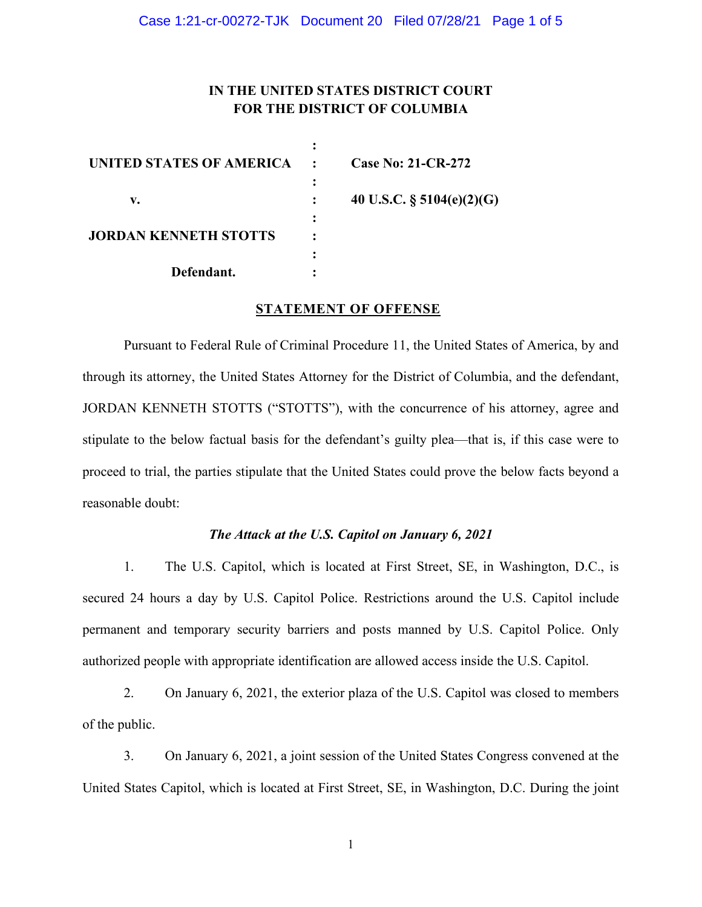# **IN THE UNITED STATES DISTRICT COURT FOR THE DISTRICT OF COLUMBIA**

| UNITED STATES OF AMERICA     |              | <b>Case No: 21-CR-272</b>    |
|------------------------------|--------------|------------------------------|
|                              | $\mathbf{r}$ |                              |
| v.                           |              | 40 U.S.C. $\S$ 5104(e)(2)(G) |
| <b>JORDAN KENNETH STOTTS</b> |              |                              |
|                              |              |                              |
|                              |              |                              |
| Defendant.                   |              |                              |

#### **STATEMENT OF OFFENSE**

Pursuant to Federal Rule of Criminal Procedure 11, the United States of America, by and through its attorney, the United States Attorney for the District of Columbia, and the defendant, JORDAN KENNETH STOTTS ("STOTTS"), with the concurrence of his attorney, agree and stipulate to the below factual basis for the defendant's guilty plea—that is, if this case were to proceed to trial, the parties stipulate that the United States could prove the below facts beyond a reasonable doubt:

### *The Attack at the U.S. Capitol on January 6, 2021*

1. The U.S. Capitol, which is located at First Street, SE, in Washington, D.C., is secured 24 hours a day by U.S. Capitol Police. Restrictions around the U.S. Capitol include permanent and temporary security barriers and posts manned by U.S. Capitol Police. Only authorized people with appropriate identification are allowed access inside the U.S. Capitol.

2. On January 6, 2021, the exterior plaza of the U.S. Capitol was closed to members of the public.

3. On January 6, 2021, a joint session of the United States Congress convened at the United States Capitol, which is located at First Street, SE, in Washington, D.C. During the joint

1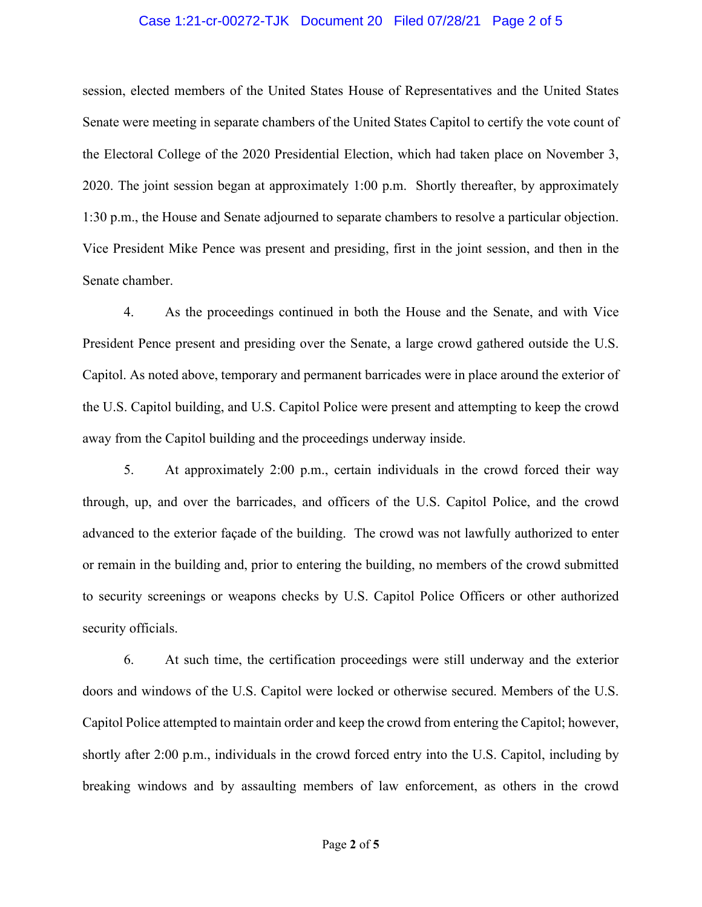#### Case 1:21-cr-00272-TJK Document 20 Filed 07/28/21 Page 2 of 5

session, elected members of the United States House of Representatives and the United States Senate were meeting in separate chambers of the United States Capitol to certify the vote count of the Electoral College of the 2020 Presidential Election, which had taken place on November 3, 2020. The joint session began at approximately 1:00 p.m. Shortly thereafter, by approximately 1:30 p.m., the House and Senate adjourned to separate chambers to resolve a particular objection. Vice President Mike Pence was present and presiding, first in the joint session, and then in the Senate chamber.

4. As the proceedings continued in both the House and the Senate, and with Vice President Pence present and presiding over the Senate, a large crowd gathered outside the U.S. Capitol. As noted above, temporary and permanent barricades were in place around the exterior of the U.S. Capitol building, and U.S. Capitol Police were present and attempting to keep the crowd away from the Capitol building and the proceedings underway inside.

5. At approximately 2:00 p.m., certain individuals in the crowd forced their way through, up, and over the barricades, and officers of the U.S. Capitol Police, and the crowd advanced to the exterior façade of the building. The crowd was not lawfully authorized to enter or remain in the building and, prior to entering the building, no members of the crowd submitted to security screenings or weapons checks by U.S. Capitol Police Officers or other authorized security officials.

6. At such time, the certification proceedings were still underway and the exterior doors and windows of the U.S. Capitol were locked or otherwise secured. Members of the U.S. Capitol Police attempted to maintain order and keep the crowd from entering the Capitol; however, shortly after 2:00 p.m., individuals in the crowd forced entry into the U.S. Capitol, including by breaking windows and by assaulting members of law enforcement, as others in the crowd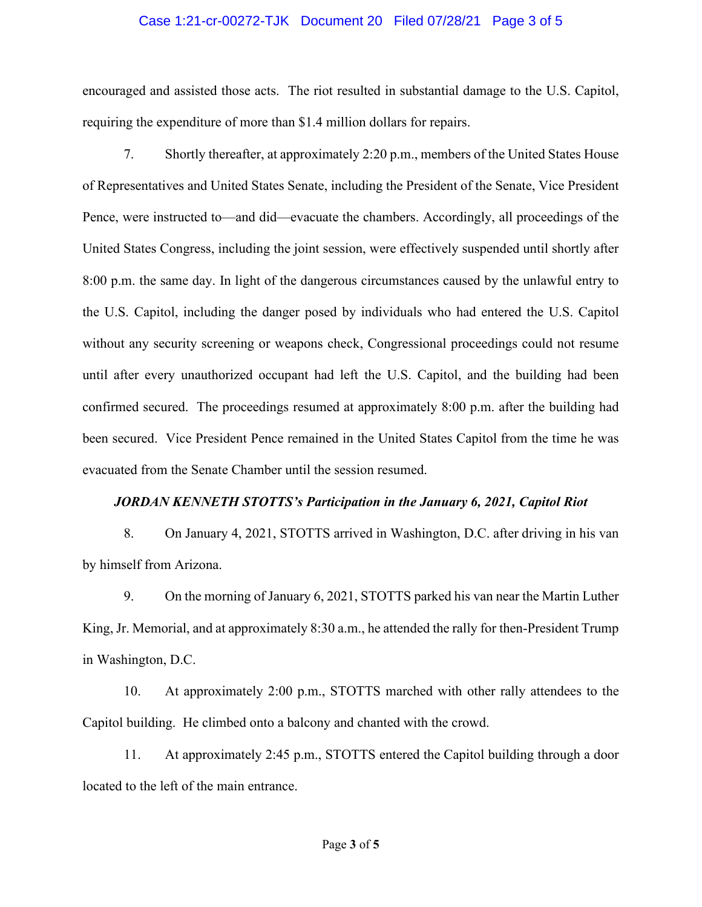#### Case 1:21-cr-00272-TJK Document 20 Filed 07/28/21 Page 3 of 5

encouraged and assisted those acts. The riot resulted in substantial damage to the U.S. Capitol, requiring the expenditure of more than \$1.4 million dollars for repairs.

7. Shortly thereafter, at approximately 2:20 p.m., members of the United States House of Representatives and United States Senate, including the President of the Senate, Vice President Pence, were instructed to—and did—evacuate the chambers. Accordingly, all proceedings of the United States Congress, including the joint session, were effectively suspended until shortly after 8:00 p.m. the same day. In light of the dangerous circumstances caused by the unlawful entry to the U.S. Capitol, including the danger posed by individuals who had entered the U.S. Capitol without any security screening or weapons check, Congressional proceedings could not resume until after every unauthorized occupant had left the U.S. Capitol, and the building had been confirmed secured. The proceedings resumed at approximately 8:00 p.m. after the building had been secured. Vice President Pence remained in the United States Capitol from the time he was evacuated from the Senate Chamber until the session resumed.

### *JORDAN KENNETH STOTTS's Participation in the January 6, 2021, Capitol Riot*

8. On January 4, 2021, STOTTS arrived in Washington, D.C. after driving in his van by himself from Arizona.

9. On the morning of January 6, 2021, STOTTS parked his van near the Martin Luther King, Jr. Memorial, and at approximately 8:30 a.m., he attended the rally for then-President Trump in Washington, D.C.

10. At approximately 2:00 p.m., STOTTS marched with other rally attendees to the Capitol building. He climbed onto a balcony and chanted with the crowd.

11. At approximately 2:45 p.m., STOTTS entered the Capitol building through a door located to the left of the main entrance.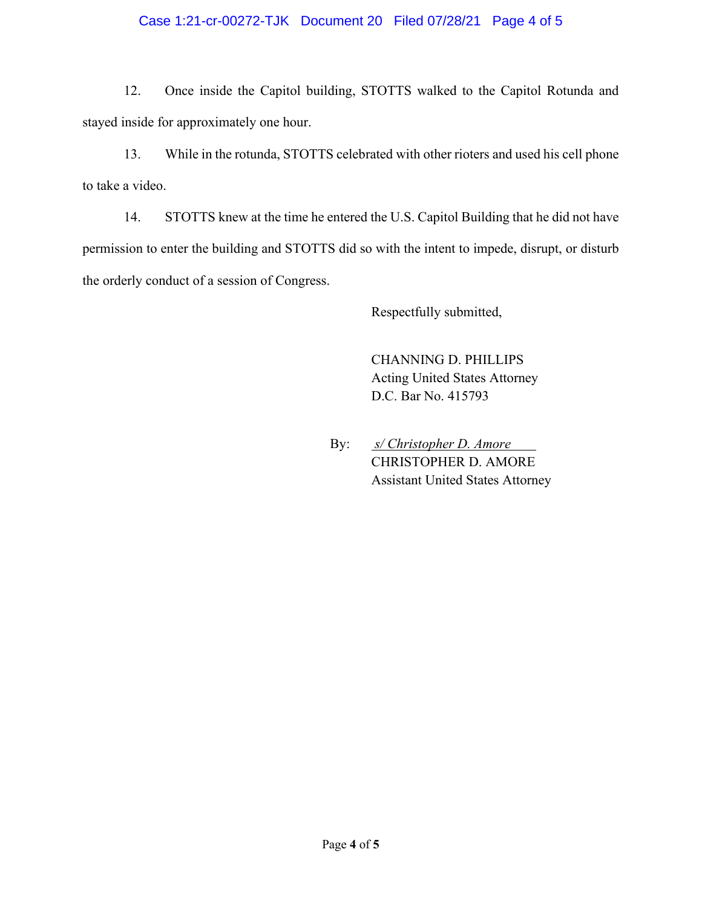## Case 1:21-cr-00272-TJK Document 20 Filed 07/28/21 Page 4 of 5

12. Once inside the Capitol building, STOTTS walked to the Capitol Rotunda and stayed inside for approximately one hour.

13. While in the rotunda, STOTTS celebrated with other rioters and used his cell phone to take a video.

14. STOTTS knew at the time he entered the U.S. Capitol Building that he did not have permission to enter the building and STOTTS did so with the intent to impede, disrupt, or disturb the orderly conduct of a session of Congress.

Respectfully submitted,

CHANNING D. PHILLIPS Acting United States Attorney D.C. Bar No. 415793

By: *s/ Christopher D. Amore* CHRISTOPHER D. AMORE Assistant United States Attorney